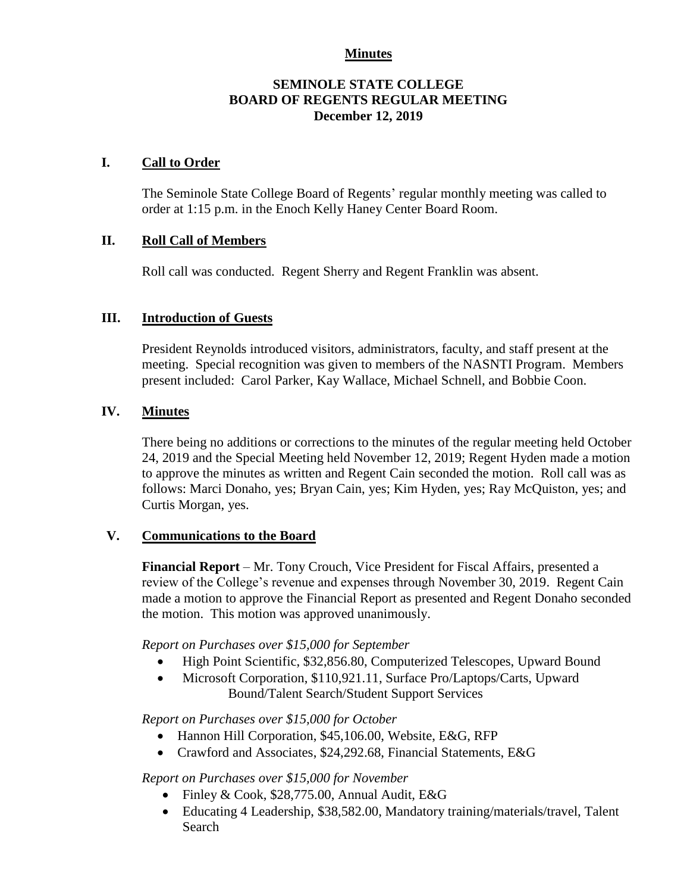### **Minutes**

### **SEMINOLE STATE COLLEGE BOARD OF REGENTS REGULAR MEETING December 12, 2019**

### **I. Call to Order**

The Seminole State College Board of Regents' regular monthly meeting was called to order at 1:15 p.m. in the Enoch Kelly Haney Center Board Room.

### **II. Roll Call of Members**

Roll call was conducted. Regent Sherry and Regent Franklin was absent.

#### **III. Introduction of Guests**

President Reynolds introduced visitors, administrators, faculty, and staff present at the meeting. Special recognition was given to members of the NASNTI Program. Members present included: Carol Parker, Kay Wallace, Michael Schnell, and Bobbie Coon.

### **IV. Minutes**

There being no additions or corrections to the minutes of the regular meeting held October 24, 2019 and the Special Meeting held November 12, 2019; Regent Hyden made a motion to approve the minutes as written and Regent Cain seconded the motion. Roll call was as follows: Marci Donaho, yes; Bryan Cain, yes; Kim Hyden, yes; Ray McQuiston, yes; and Curtis Morgan, yes.

### **V. Communications to the Board**

**Financial Report** – Mr. Tony Crouch, Vice President for Fiscal Affairs, presented a review of the College's revenue and expenses through November 30, 2019. Regent Cain made a motion to approve the Financial Report as presented and Regent Donaho seconded the motion. This motion was approved unanimously.

*Report on Purchases over \$15,000 for September*

- High Point Scientific, \$32,856.80, Computerized Telescopes, Upward Bound
- Microsoft Corporation, \$110,921.11, Surface Pro/Laptops/Carts, Upward Bound/Talent Search/Student Support Services

*Report on Purchases over \$15,000 for October*

- Hannon Hill Corporation, \$45,106.00, Website, E&G, RFP
- Crawford and Associates, \$24,292.68, Financial Statements, E&G

### *Report on Purchases over \$15,000 for November*

- Finley & Cook, \$28,775.00, Annual Audit, E&G
- Educating 4 Leadership, \$38,582.00, Mandatory training/materials/travel, Talent Search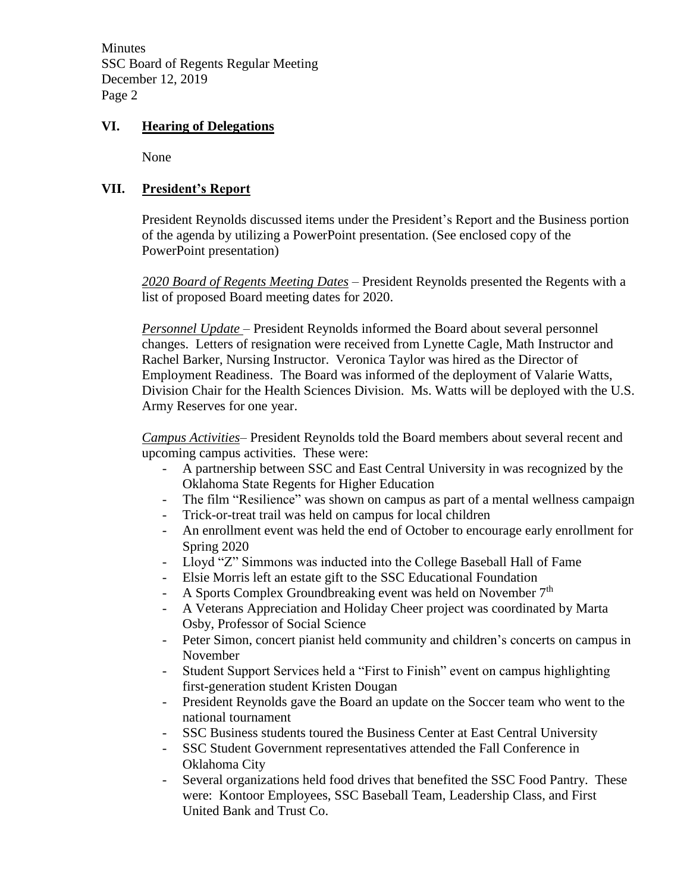**Minutes** SSC Board of Regents Regular Meeting December 12, 2019 Page 2

## **VI. Hearing of Delegations**

None

## **VII. President's Report**

President Reynolds discussed items under the President's Report and the Business portion of the agenda by utilizing a PowerPoint presentation. (See enclosed copy of the PowerPoint presentation)

*2020 Board of Regents Meeting Dates* – President Reynolds presented the Regents with a list of proposed Board meeting dates for 2020.

*Personnel Update* – President Reynolds informed the Board about several personnel changes. Letters of resignation were received from Lynette Cagle, Math Instructor and Rachel Barker, Nursing Instructor. Veronica Taylor was hired as the Director of Employment Readiness. The Board was informed of the deployment of Valarie Watts, Division Chair for the Health Sciences Division. Ms. Watts will be deployed with the U.S. Army Reserves for one year.

*Campus Activities*– President Reynolds told the Board members about several recent and upcoming campus activities. These were:

- A partnership between SSC and East Central University in was recognized by the Oklahoma State Regents for Higher Education
- The film "Resilience" was shown on campus as part of a mental wellness campaign
- Trick-or-treat trail was held on campus for local children
- An enrollment event was held the end of October to encourage early enrollment for Spring 2020
- Lloyd "Z" Simmons was inducted into the College Baseball Hall of Fame
- Elsie Morris left an estate gift to the SSC Educational Foundation
- A Sports Complex Groundbreaking event was held on November 7<sup>th</sup>
- A Veterans Appreciation and Holiday Cheer project was coordinated by Marta Osby, Professor of Social Science
- Peter Simon, concert pianist held community and children's concerts on campus in November
- Student Support Services held a "First to Finish" event on campus highlighting first-generation student Kristen Dougan
- President Reynolds gave the Board an update on the Soccer team who went to the national tournament
- SSC Business students toured the Business Center at East Central University
- SSC Student Government representatives attended the Fall Conference in Oklahoma City
- Several organizations held food drives that benefited the SSC Food Pantry. These were: Kontoor Employees, SSC Baseball Team, Leadership Class, and First United Bank and Trust Co.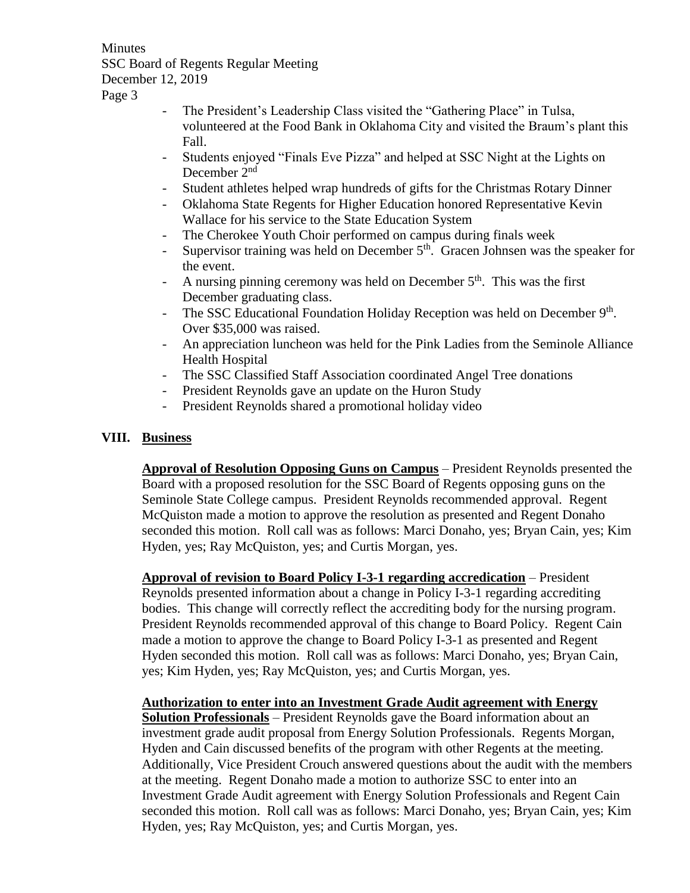**Minutes** SSC Board of Regents Regular Meeting December 12, 2019

Page 3

- The President's Leadership Class visited the "Gathering Place" in Tulsa, volunteered at the Food Bank in Oklahoma City and visited the Braum's plant this Fall.
- Students enjoyed "Finals Eve Pizza" and helped at SSC Night at the Lights on December 2<sup>nd</sup>
- Student athletes helped wrap hundreds of gifts for the Christmas Rotary Dinner
- Oklahoma State Regents for Higher Education honored Representative Kevin Wallace for his service to the State Education System
- The Cherokee Youth Choir performed on campus during finals week
- Supervisor training was held on December  $5<sup>th</sup>$ . Gracen Johnsen was the speaker for the event.
- A nursing pinning ceremony was held on December  $5<sup>th</sup>$ . This was the first December graduating class.
- The SSC Educational Foundation Holiday Reception was held on December  $9<sup>th</sup>$ . Over \$35,000 was raised.
- An appreciation luncheon was held for the Pink Ladies from the Seminole Alliance Health Hospital
- The SSC Classified Staff Association coordinated Angel Tree donations
- President Reynolds gave an update on the Huron Study
- President Reynolds shared a promotional holiday video

# **VIII. Business**

**Approval of Resolution Opposing Guns on Campus** – President Reynolds presented the Board with a proposed resolution for the SSC Board of Regents opposing guns on the Seminole State College campus. President Reynolds recommended approval. Regent McQuiston made a motion to approve the resolution as presented and Regent Donaho seconded this motion. Roll call was as follows: Marci Donaho, yes; Bryan Cain, yes; Kim Hyden, yes; Ray McQuiston, yes; and Curtis Morgan, yes.

**Approval of revision to Board Policy I-3-1 regarding accredication** – President Reynolds presented information about a change in Policy I-3-1 regarding accrediting bodies. This change will correctly reflect the accrediting body for the nursing program. President Reynolds recommended approval of this change to Board Policy. Regent Cain made a motion to approve the change to Board Policy I-3-1 as presented and Regent Hyden seconded this motion. Roll call was as follows: Marci Donaho, yes; Bryan Cain, yes; Kim Hyden, yes; Ray McQuiston, yes; and Curtis Morgan, yes.

## **Authorization to enter into an Investment Grade Audit agreement with Energy**

**Solution Professionals** – President Reynolds gave the Board information about an investment grade audit proposal from Energy Solution Professionals. Regents Morgan, Hyden and Cain discussed benefits of the program with other Regents at the meeting. Additionally, Vice President Crouch answered questions about the audit with the members at the meeting. Regent Donaho made a motion to authorize SSC to enter into an Investment Grade Audit agreement with Energy Solution Professionals and Regent Cain seconded this motion. Roll call was as follows: Marci Donaho, yes; Bryan Cain, yes; Kim Hyden, yes; Ray McQuiston, yes; and Curtis Morgan, yes.